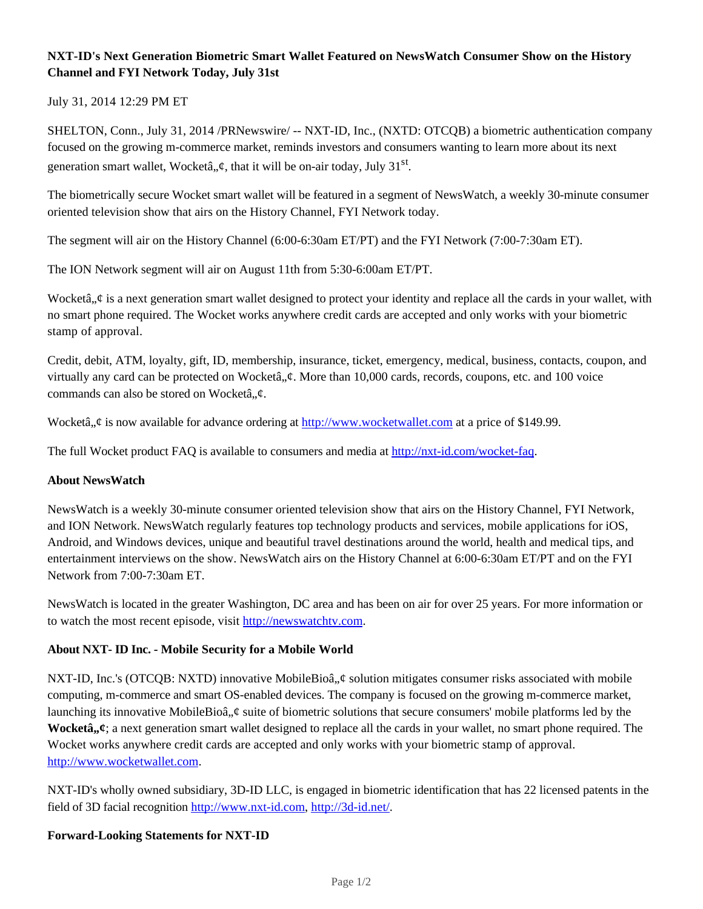# **NXT-ID's Next Generation Biometric Smart Wallet Featured on NewsWatch Consumer Show on the History Channel and FYI Network Today, July 31st**

July 31, 2014 12:29 PM ET

SHELTON, Conn., July 31, 2014 /PRNewswire/ -- NXT-ID, Inc., (NXTD: OTCQB) a biometric authentication company focused on the growing m-commerce market, reminds investors and consumers wanting to learn more about its next generation smart wallet, Wocketâ,, $\varphi$ , that it will be on-air today, July 31<sup>st</sup>.

The biometrically secure Wocket smart wallet will be featured in a segment of NewsWatch, a weekly 30-minute consumer oriented television show that airs on the History Channel, FYI Network today.

The segment will air on the History Channel (6:00-6:30am ET/PT) and the FYI Network (7:00-7:30am ET).

The ION Network segment will air on August 11th from 5:30-6:00am ET/PT.

Wocketâ,  $\phi$  is a next generation smart wallet designed to protect your identity and replace all the cards in your wallet, with no smart phone required. The Wocket works anywhere credit cards are accepted and only works with your biometric stamp of approval.

Credit, debit, ATM, loyalty, gift, ID, membership, insurance, ticket, emergency, medical, business, contacts, coupon, and virtually any card can be protected on Wocketâ,  $\phi$ . More than 10,000 cards, records, coupons, etc. and 100 voice commands can also be stored on Wocketâ. $\mathcal{L}$ .

Wocketâ,  $\phi$  is now available for advance ordering at http://www.wocketwallet.com at a price of \$149.99.

The full Wocket product FAQ is available to consumers and media at http://nxt-id.com/wocket-faq.

## **About NewsWatch**

NewsWatch is a weekly 30-minute consumer oriented television show that airs on the History Channel, FYI Network, and ION Network. NewsWatch regularly features top technology products and services, mobile applications for iOS, Android, and Windows devices, unique and beautiful travel destinations around the world, health and medical tips, and entertainment interviews on the show. NewsWatch airs on the History Channel at 6:00-6:30am ET/PT and on the FYI Network from 7:00-7:30am ET.

NewsWatch is located in the greater Washington, DC area and has been on air for over 25 years. For more information or to watch the most recent episode, visit http://newswatchtv.com.

## **About NXT- ID Inc. - Mobile Security for a Mobile World**

NXT-ID, Inc.'s (OTCQB: NXTD) innovative MobileBioâ,  $\phi$  solution mitigates consumer risks associated with mobile computing, m-commerce and smart OS-enabled devices. The company is focused on the growing m-commerce market, launching its innovative MobileBioâ,  $\phi$  suite of biometric solutions that secure consumers' mobile platforms led by the **Wocketâ**,  $\boldsymbol{\psi}$ ; a next generation smart wallet designed to replace all the cards in your wallet, no smart phone required. The Wocket works anywhere credit cards are accepted and only works with your biometric stamp of approval. http://www.wocketwallet.com.

NXT-ID's wholly owned subsidiary, 3D-ID LLC, is engaged in biometric identification that has 22 licensed patents in the field of 3D facial recognition http://www.nxt-id.com, http://3d-id.net/.

## **Forward-Looking Statements for NXT-ID**